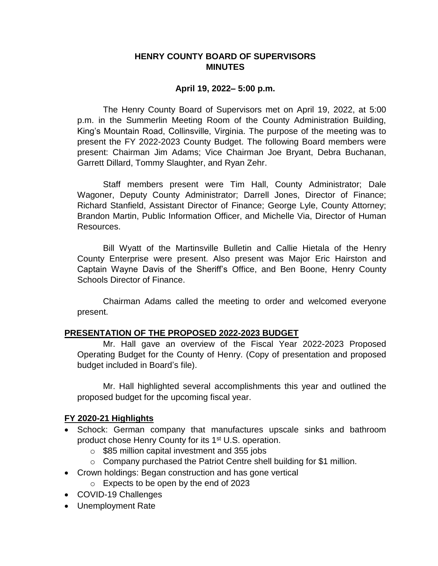### **HENRY COUNTY BOARD OF SUPERVISORS MINUTES**

#### **April 19, 2022– 5:00 p.m.**

The Henry County Board of Supervisors met on April 19, 2022, at 5:00 p.m. in the Summerlin Meeting Room of the County Administration Building, King's Mountain Road, Collinsville, Virginia. The purpose of the meeting was to present the FY 2022-2023 County Budget. The following Board members were present: Chairman Jim Adams; Vice Chairman Joe Bryant, Debra Buchanan, Garrett Dillard, Tommy Slaughter, and Ryan Zehr.

Staff members present were Tim Hall, County Administrator; Dale Wagoner, Deputy County Administrator; Darrell Jones, Director of Finance; Richard Stanfield, Assistant Director of Finance; George Lyle, County Attorney; Brandon Martin, Public Information Officer, and Michelle Via, Director of Human Resources.

Bill Wyatt of the Martinsville Bulletin and Callie Hietala of the Henry County Enterprise were present. Also present was Major Eric Hairston and Captain Wayne Davis of the Sheriff's Office, and Ben Boone, Henry County Schools Director of Finance.

Chairman Adams called the meeting to order and welcomed everyone present.

### **PRESENTATION OF THE PROPOSED 2022-2023 BUDGET**

Mr. Hall gave an overview of the Fiscal Year 2022-2023 Proposed Operating Budget for the County of Henry. (Copy of presentation and proposed budget included in Board's file).

Mr. Hall highlighted several accomplishments this year and outlined the proposed budget for the upcoming fiscal year.

### **FY 2020-21 Highlights**

- Schock: German company that manufactures upscale sinks and bathroom product chose Henry County for its 1<sup>st</sup> U.S. operation.
	- o \$85 million capital investment and 355 jobs
	- $\circ$  Company purchased the Patriot Centre shell building for \$1 million.
- Crown holdings: Began construction and has gone vertical
	- o Expects to be open by the end of 2023
- COVID-19 Challenges
- Unemployment Rate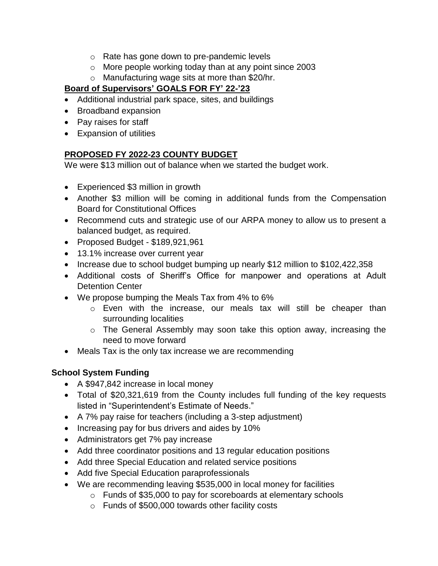- o Rate has gone down to pre-pandemic levels
- o More people working today than at any point since 2003
- o Manufacturing wage sits at more than \$20/hr.

# **Board of Supervisors' GOALS FOR FY' 22-'23**

- Additional industrial park space, sites, and buildings
- Broadband expansion
- Pay raises for staff
- Expansion of utilities

# **PROPOSED FY 2022-23 COUNTY BUDGET**

We were \$13 million out of balance when we started the budget work.

- Experienced \$3 million in growth
- Another \$3 million will be coming in additional funds from the Compensation Board for Constitutional Offices
- Recommend cuts and strategic use of our ARPA money to allow us to present a balanced budget, as required.
- Proposed Budget  $$189,921,961$
- 13.1% increase over current year
- Increase due to school budget bumping up nearly \$12 million to \$102,422,358
- Additional costs of Sheriff's Office for manpower and operations at Adult Detention Center
- We propose bumping the Meals Tax from 4% to 6%
	- o Even with the increase, our meals tax will still be cheaper than surrounding localities
	- o The General Assembly may soon take this option away, increasing the need to move forward
- Meals Tax is the only tax increase we are recommending

# **School System Funding**

- A \$947,842 increase in local money
- Total of \$20,321,619 from the County includes full funding of the key requests listed in "Superintendent's Estimate of Needs."
- A 7% pay raise for teachers (including a 3-step adjustment)
- Increasing pay for bus drivers and aides by 10%
- Administrators get 7% pay increase
- Add three coordinator positions and 13 regular education positions
- Add three Special Education and related service positions
- Add five Special Education paraprofessionals
- We are recommending leaving \$535,000 in local money for facilities
	- o Funds of \$35,000 to pay for scoreboards at elementary schools
	- o Funds of \$500,000 towards other facility costs